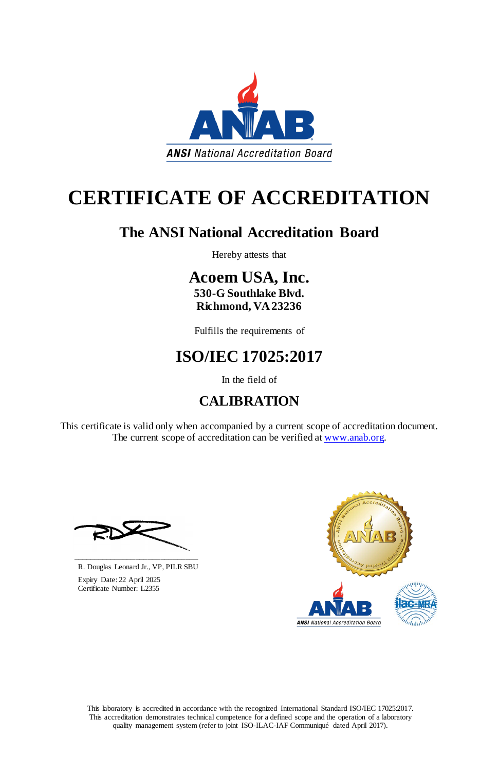This laboratory is accredited in accordance with the recognized International Standard ISO/IEC 17025:2017. This accreditation demonstrates technical competence for a defined scope and the operation of a laboratory quality management system (refer to joint ISO-ILAC-IAF Communiqué dated April 2017).

This certificate is valid only when accompanied by a current scope of accreditation document. The current scope of accreditation can be verified at www.anab.org.





# **CERTIFICATE OF ACCREDITATION**

### **The ANSI National Accreditation Board**

Hereby attests that

**Acoem USA, Inc. 530-G Southlake Blvd. Richmond, VA 23236**

Fulfills the requirements of

## **ISO/IEC 17025:2017**

In the field of

### **CALIBRATION**

**\_\_\_\_\_\_\_\_\_\_\_\_\_\_\_\_\_\_\_\_\_\_\_\_\_\_\_\_\_\_** R. Douglas Leonard Jr., VP, PILR SBU



 Expiry Date: 22 April 2025 Certificate Number: L2355